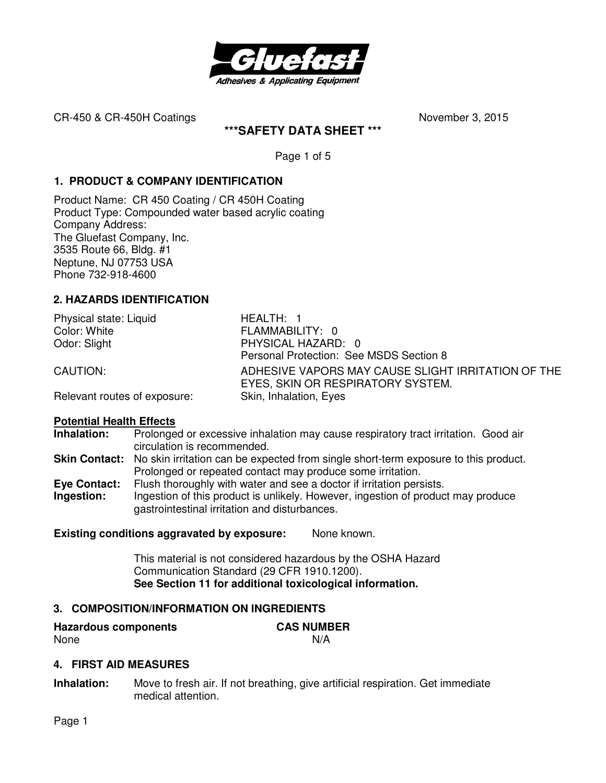

**\*\*\*SAFETY DATA SHEET \*\*\*** 

Page 1 of 5

## **1. PRODUCT & COMPANY IDENTIFICATION**

Product Name: CR 450 Coating / CR 450H Coating Product Type: Compounded water based acrylic coating Company Address: The Gluefast Company, Inc. 3535 Route 66, Bldg. #1 Neptune, NJ 07753 USA Phone 732-918-4600

# **2. HAZARDS IDENTIFICATION**

| Physical state: Liquid       | HEALTH: 1                                                                               |
|------------------------------|-----------------------------------------------------------------------------------------|
| Color: White                 | FLAMMABILITY: 0                                                                         |
| Odor: Slight                 | PHYSICAL HAZARD: 0                                                                      |
|                              | Personal Protection: See MSDS Section 8                                                 |
| CAUTION:                     | ADHESIVE VAPORS MAY CAUSE SLIGHT IRRITATION OF THE<br>EYES, SKIN OR RESPIRATORY SYSTEM. |
| Relevant routes of exposure: | Skin, Inhalation, Eyes                                                                  |

#### **Potential Health Effects**

**Inhalation:** Prolonged or excessive inhalation may cause respiratory tract irritation. Good air circulation is recommended.

Skin Contact: No skin irritation can be expected from single short-term exposure to this product. Prolonged or repeated contact may produce some irritation.

**Eye Contact:** Flush thoroughly with water and see a doctor if irritation persists. **Ingestion:** Ingestion of this product is unlikely. However, ingestion of product may produce gastrointestinal irritation and disturbances.

## **Existing conditions aggravated by exposure:** None known.

This material is not considered hazardous by the OSHA Hazard Communication Standard (29 CFR 1910.1200). **See Section 11 for additional toxicological information.** 

## **3. COMPOSITION/INFORMATION ON INGREDIENTS**

| <b>Hazardous components</b> | <b>CAS NUMBER</b> |
|-----------------------------|-------------------|
| None                        | N/A               |

#### **4. FIRST AID MEASURES**

**Inhalation:** Move to fresh air. If not breathing, give artificial respiration. Get immediate medical attention.

Page 1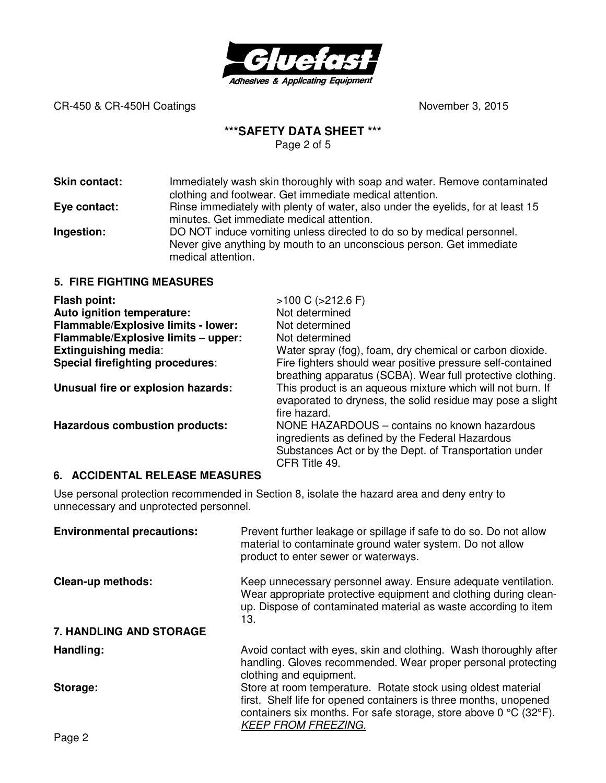

### **\*\*\*SAFETY DATA SHEET \*\*\***

Page 2 of 5

**Skin contact:** Immediately wash skin thoroughly with soap and water. Remove contaminated clothing and footwear. Get immediate medical attention. **Eye contact:** Rinse immediately with plenty of water, also under the eyelids, for at least 15 minutes. Get immediate medical attention.

**Ingestion:** DO NOT induce vomiting unless directed to do so by medical personnel. Never give anything by mouth to an unconscious person. Get immediate medical attention.

### **5. FIRE FIGHTING MEASURES**

| Flash point:                          | $>100$ C ( $>212.6$ F)                                                                                                                                                     |
|---------------------------------------|----------------------------------------------------------------------------------------------------------------------------------------------------------------------------|
| Auto ignition temperature:            | Not determined                                                                                                                                                             |
| Flammable/Explosive limits - lower:   | Not determined                                                                                                                                                             |
| Flammable/Explosive limits - upper:   | Not determined                                                                                                                                                             |
| <b>Extinguishing media:</b>           | Water spray (fog), foam, dry chemical or carbon dioxide.                                                                                                                   |
| Special firefighting procedures:      | Fire fighters should wear positive pressure self-contained<br>breathing apparatus (SCBA). Wear full protective clothing.                                                   |
| Unusual fire or explosion hazards:    | This product is an aqueous mixture which will not burn. If<br>evaporated to dryness, the solid residue may pose a slight<br>fire hazard.                                   |
| <b>Hazardous combustion products:</b> | NONE HAZARDOUS – contains no known hazardous<br>ingredients as defined by the Federal Hazardous<br>Substances Act or by the Dept. of Transportation under<br>CFR Title 49. |

#### **6. ACCIDENTAL RELEASE MEASURES**

Use personal protection recommended in Section 8, isolate the hazard area and deny entry to unnecessary and unprotected personnel.

| <b>Environmental precautions:</b> | Prevent further leakage or spillage if safe to do so. Do not allow<br>material to contaminate ground water system. Do not allow<br>product to enter sewer or waterways.                                                               |
|-----------------------------------|---------------------------------------------------------------------------------------------------------------------------------------------------------------------------------------------------------------------------------------|
| <b>Clean-up methods:</b>          | Keep unnecessary personnel away. Ensure adequate ventilation.<br>Wear appropriate protective equipment and clothing during clean-<br>up. Dispose of contaminated material as waste according to item<br>13.                           |
| 7. HANDLING AND STORAGE           |                                                                                                                                                                                                                                       |
| Handling:                         | Avoid contact with eyes, skin and clothing. Wash thoroughly after<br>handling. Gloves recommended. Wear proper personal protecting<br>clothing and equipment.                                                                         |
| Storage:                          | Store at room temperature. Rotate stock using oldest material<br>first. Shelf life for opened containers is three months, unopened<br>containers six months. For safe storage, store above 0 °C (32°F).<br><b>KEEP FROM FREEZING.</b> |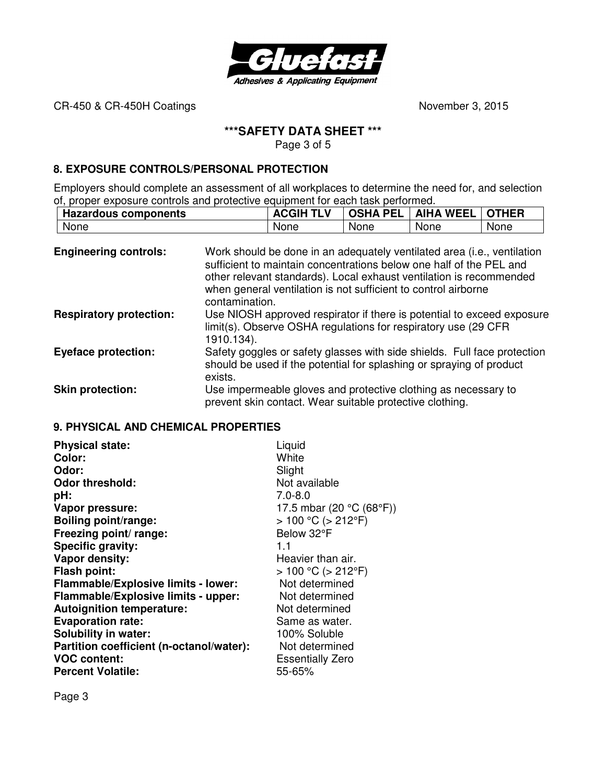

# **\*\*\*SAFETY DATA SHEET \*\*\***

Page 3 of 5

### **8. EXPOSURE CONTROLS/PERSONAL PROTECTION**

Employers should complete an assessment of all workplaces to determine the need for, and selection of, proper exposure controls and protective equipment for each task performed.

| <b>Hazardous components</b> | A<br>ь | <b>PEL</b><br><b>OSHA</b> | <b>WEEL</b><br><b>AIHA</b> | THER |
|-----------------------------|--------|---------------------------|----------------------------|------|
| None                        | None   | None                      | None                       | None |

| <b>Engineering controls:</b>   | Work should be done in an adequately ventilated area (i.e., ventilation<br>sufficient to maintain concentrations below one half of the PEL and<br>other relevant standards). Local exhaust ventilation is recommended<br>when general ventilation is not sufficient to control airborne<br>contamination. |
|--------------------------------|-----------------------------------------------------------------------------------------------------------------------------------------------------------------------------------------------------------------------------------------------------------------------------------------------------------|
| <b>Respiratory protection:</b> | Use NIOSH approved respirator if there is potential to exceed exposure<br>limit(s). Observe OSHA regulations for respiratory use (29 CFR<br>1910.134).                                                                                                                                                    |
| <b>Eyeface protection:</b>     | Safety goggles or safety glasses with side shields. Full face protection<br>should be used if the potential for splashing or spraying of product<br>exists.                                                                                                                                               |
| <b>Skin protection:</b>        | Use impermeable gloves and protective clothing as necessary to<br>prevent skin contact. Wear suitable protective clothing.                                                                                                                                                                                |

#### **9. PHYSICAL AND CHEMICAL PROPERTIES**

| <b>Physical state:</b>                     | Liquid                    |
|--------------------------------------------|---------------------------|
| Color:                                     | White                     |
| Odor:                                      | Slight                    |
| <b>Odor threshold:</b>                     | Not available             |
| pH:                                        | $7.0 - 8.0$               |
| Vapor pressure:                            | 17.5 mbar (20 °C (68°F))  |
| <b>Boiling point/range:</b>                | $> 100 °C$ ( $> 212 °F$ ) |
| Freezing point/ range:                     | Below 32°F                |
| Specific gravity:                          | 1.1                       |
| Vapor density:                             | Heavier than air.         |
| <b>Flash point:</b>                        | $> 100 °C$ ( $> 212 °F$ ) |
| <b>Flammable/Explosive limits - lower:</b> | Not determined            |
| Flammable/Explosive limits - upper:        | Not determined            |
| <b>Autoignition temperature:</b>           | Not determined            |
| <b>Evaporation rate:</b>                   | Same as water.            |
| <b>Solubility in water:</b>                | 100% Soluble              |
| Partition coefficient (n-octanol/water):   | Not determined            |
| <b>VOC content:</b>                        | <b>Essentially Zero</b>   |
| <b>Percent Volatile:</b>                   | 55-65%                    |

Page 3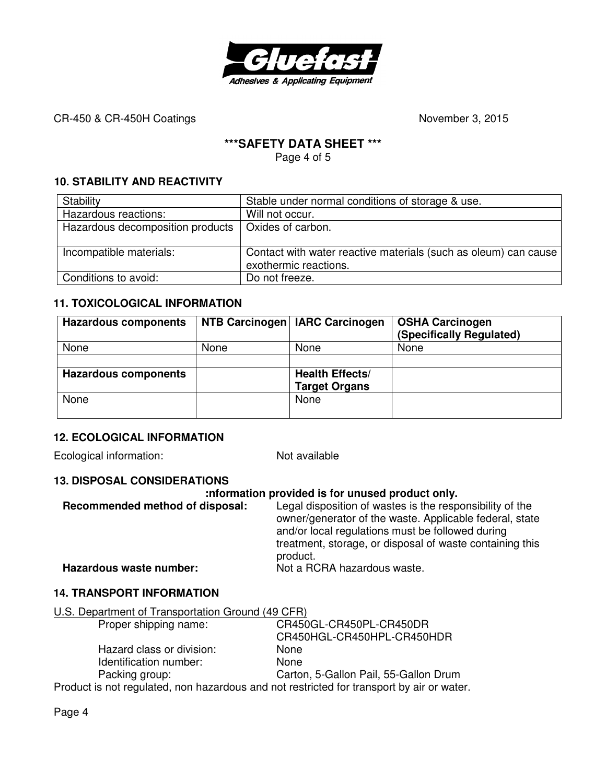

## **\*\*\*SAFETY DATA SHEET \*\*\***

Page 4 of 5

## **10. STABILITY AND REACTIVITY**

| Stability                        | Stable under normal conditions of storage & use.                                         |
|----------------------------------|------------------------------------------------------------------------------------------|
| Hazardous reactions:             | Will not occur.                                                                          |
| Hazardous decomposition products | Oxides of carbon.                                                                        |
|                                  |                                                                                          |
| Incompatible materials:          | Contact with water reactive materials (such as oleum) can cause<br>exothermic reactions. |
| Conditions to avoid:             | Do not freeze.                                                                           |

### **11. TOXICOLOGICAL INFORMATION**

| <b>Hazardous components</b> |      | NTB Carcinogen   IARC Carcinogen               | <b>OSHA Carcinogen</b><br>(Specifically Regulated) |
|-----------------------------|------|------------------------------------------------|----------------------------------------------------|
| None                        | None | None                                           | None                                               |
|                             |      |                                                |                                                    |
| <b>Hazardous components</b> |      | <b>Health Effects/</b><br><b>Target Organs</b> |                                                    |
| None                        |      | None                                           |                                                    |

## **12. ECOLOGICAL INFORMATION**

Ecological information: Not available

## **13. DISPOSAL CONSIDERATIONS**

#### **:nformation provided is for unused product only.**

| Recommended method of disposal: | Legal disposition of wastes is the responsibility of the<br>owner/generator of the waste. Applicable federal, state<br>and/or local regulations must be followed during<br>treatment, storage, or disposal of waste containing this<br>product. |
|---------------------------------|-------------------------------------------------------------------------------------------------------------------------------------------------------------------------------------------------------------------------------------------------|
| Hazardous waste number:         | Not a RCRA hazardous waste.                                                                                                                                                                                                                     |

#### **14. TRANSPORT INFORMATION**

### U.S. Department of Transportation Ground (49 CFR)

| CR450GL-CR450PL-CR450DR                                                                   |
|-------------------------------------------------------------------------------------------|
| CR450HGL-CR450HPL-CR450HDR                                                                |
| None                                                                                      |
| <b>None</b>                                                                               |
| Carton, 5-Gallon Pail, 55-Gallon Drum                                                     |
| Product is not regulated, non hazardous and not restricted for transport by air or water. |
|                                                                                           |

Page 4